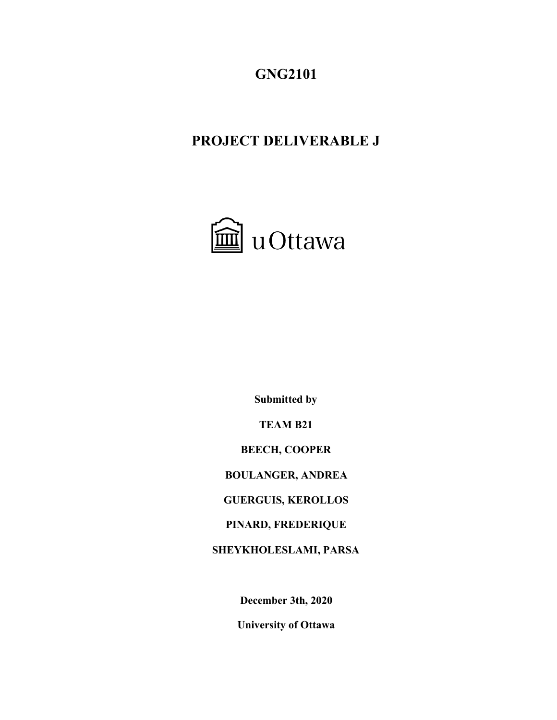# **GNG2101**

# **PROJECT DELIVERABLE J**



**Submitted by**

**TEAM B21**

**BEECH, COOPER**

**BOULANGER, ANDREA**

**GUERGUIS, KEROLLOS**

**PINARD, FREDERIQUE**

**SHEYKHOLESLAMI, PARSA**

**December 3th, 2020**

**University of Ottawa**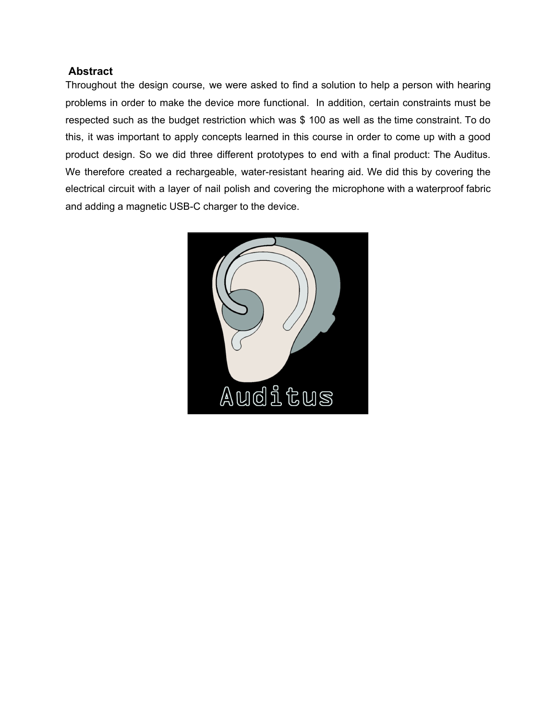#### <span id="page-1-0"></span> **Abstract**

Throughout the design course, we were asked to find a solution to help a person with hearing problems in order to make the device more functional. In addition, certain constraints must be respected such as the budget restriction which was \$ 100 as well as the time constraint. To do this, it was important to apply concepts learned in this course in order to come up with a good product design. So we did three different prototypes to end with a final product: The Auditus. We therefore created a rechargeable, water-resistant hearing aid. We did this by covering the electrical circuit with a layer of nail polish and covering the microphone with a waterproof fabric and adding a magnetic USB-C charger to the device.

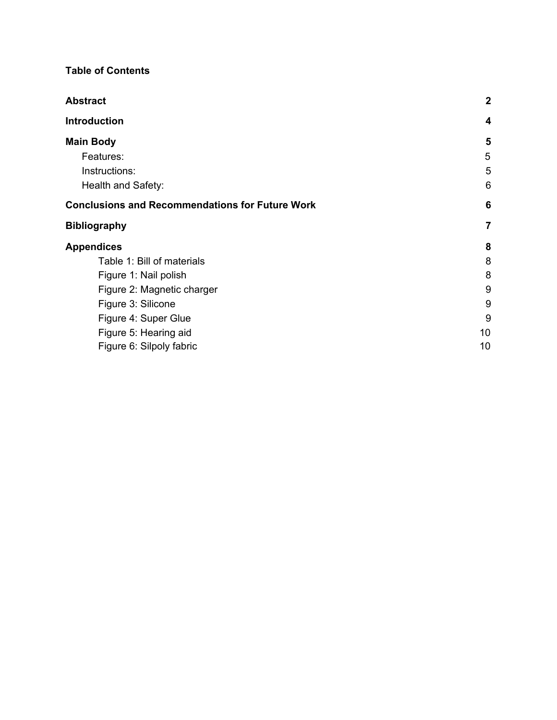### **Table of Contents**

| <b>Abstract</b>                                        | $\mathbf{2}$   |
|--------------------------------------------------------|----------------|
| Introduction                                           | 4              |
| <b>Main Body</b>                                       | 5              |
| Features:                                              | 5              |
| Instructions:                                          | 5              |
| Health and Safety:                                     | 6              |
| <b>Conclusions and Recommendations for Future Work</b> | 6              |
| <b>Bibliography</b>                                    | $\overline{7}$ |
| <b>Appendices</b>                                      | 8              |
| Table 1: Bill of materials                             | 8              |
| Figure 1: Nail polish                                  | 8              |
| Figure 2: Magnetic charger                             | 9              |
| Figure 3: Silicone                                     | 9              |
| Figure 4: Super Glue                                   | 9              |
| Figure 5: Hearing aid                                  | 10             |
| Figure 6: Silpoly fabric                               | 10             |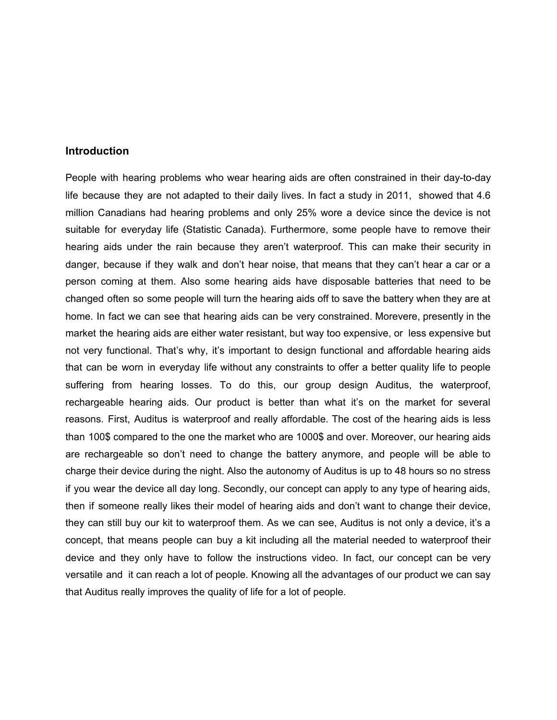#### <span id="page-3-0"></span>**Introduction**

People with hearing problems who wear hearing aids are often constrained in their day-to-day life because they are not adapted to their daily lives. In fact a study in 2011, showed that 4.6 million Canadians had hearing problems and only 25% wore a device since the device is not suitable for everyday life (Statistic Canada). Furthermore, some people have to remove their hearing aids under the rain because they aren't waterproof. This can make their security in danger, because if they walk and don't hear noise, that means that they can't hear a car or a person coming at them. Also some hearing aids have disposable batteries that need to be changed often so some people will turn the hearing aids off to save the battery when they are at home. In fact we can see that hearing aids can be very constrained. Morevere, presently in the market the hearing aids are either water resistant, but way too expensive, or less expensive but not very functional. That's why, it's important to design functional and affordable hearing aids that can be worn in everyday life without any constraints to offer a better quality life to people suffering from hearing losses. To do this, our group design Auditus, the waterproof, rechargeable hearing aids. Our product is better than what it's on the market for several reasons. First, Auditus is waterproof and really affordable. The cost of the hearing aids is less than 100\$ compared to the one the market who are 1000\$ and over. Moreover, our hearing aids are rechargeable so don't need to change the battery anymore, and people will be able to charge their device during the night. Also the autonomy of Auditus is up to 48 hours so no stress if you wear the device all day long. Secondly, our concept can apply to any type of hearing aids, then if someone really likes their model of hearing aids and don't want to change their device, they can still buy our kit to waterproof them. As we can see, Auditus is not only a device, it's a concept, that means people can buy a kit including all the material needed to waterproof their device and they only have to follow the instructions video. In fact, our concept can be very versatile and it can reach a lot of people. Knowing all the advantages of our product we can say that Auditus really improves the quality of life for a lot of people.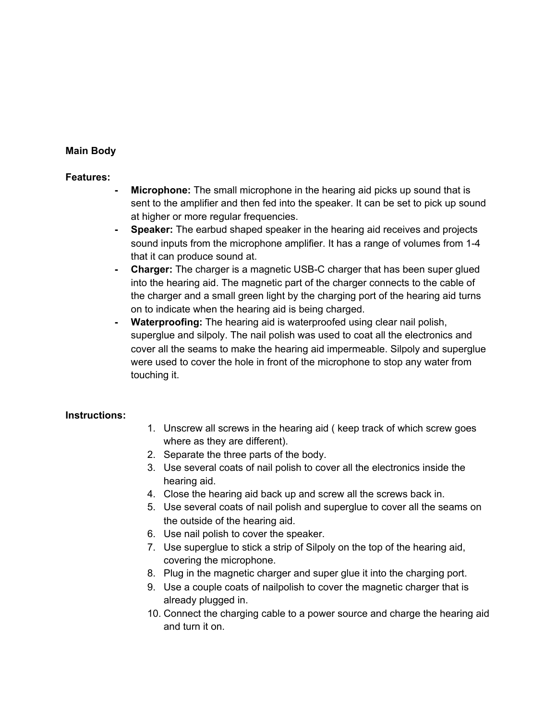#### <span id="page-4-0"></span>**Main Body**

#### <span id="page-4-1"></span>**Features:**

- **Microphone:** The small microphone in the hearing aid picks up sound that is sent to the amplifier and then fed into the speaker. It can be set to pick up sound at higher or more regular frequencies.
- **- Speaker:** The earbud shaped speaker in the hearing aid receives and projects sound inputs from the microphone amplifier. It has a range of volumes from 1-4 that it can produce sound at.
- **- Charger:** The charger is a magnetic USB-C charger that has been super glued into the hearing aid. The magnetic part of the charger connects to the cable of the charger and a small green light by the charging port of the hearing aid turns on to indicate when the hearing aid is being charged.
- **- Waterproofing:** The hearing aid is waterproofed using clear nail polish, superglue and silpoly. The nail polish was used to coat all the electronics and cover all the seams to make the hearing aid impermeable. Silpoly and superglue were used to cover the hole in front of the microphone to stop any water from touching it.

#### <span id="page-4-2"></span>**Instructions:**

- 1. Unscrew all screws in the hearing aid ( keep track of which screw goes where as they are different).
- 2. Separate the three parts of the body.
- 3. Use several coats of nail polish to cover all the electronics inside the hearing aid.
- 4. Close the hearing aid back up and screw all the screws back in.
- 5. Use several coats of nail polish and superglue to cover all the seams on the outside of the hearing aid.
- 6. Use nail polish to cover the speaker.
- 7. Use superglue to stick a strip of Silpoly on the top of the hearing aid, covering the microphone.
- 8. Plug in the magnetic charger and super glue it into the charging port.
- 9. Use a couple coats of nailpolish to cover the magnetic charger that is already plugged in.
- 10. Connect the charging cable to a power source and charge the hearing aid and turn it on.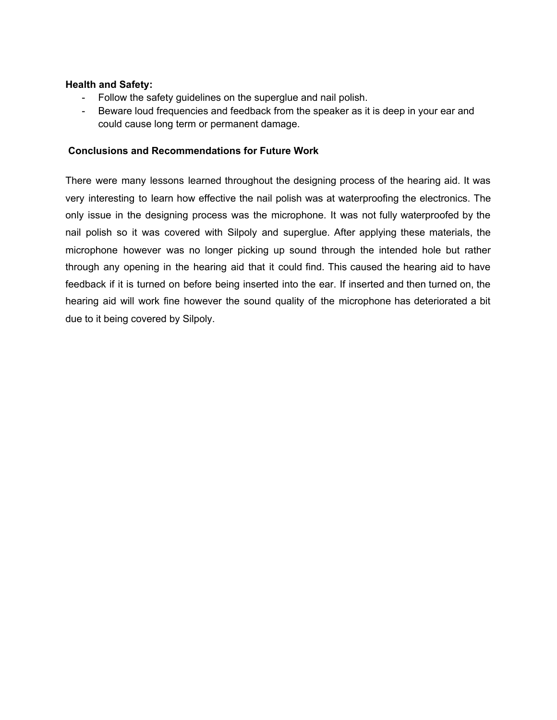#### <span id="page-5-0"></span>**Health and Safety:**

- Follow the safety guidelines on the superglue and nail polish.
- Beware loud frequencies and feedback from the speaker as it is deep in your ear and could cause long term or permanent damage.

#### <span id="page-5-1"></span>**Conclusions and Recommendations for Future Work**

There were many lessons learned throughout the designing process of the hearing aid. It was very interesting to learn how effective the nail polish was at waterproofing the electronics. The only issue in the designing process was the microphone. It was not fully waterproofed by the nail polish so it was covered with Silpoly and superglue. After applying these materials, the microphone however was no longer picking up sound through the intended hole but rather through any opening in the hearing aid that it could find. This caused the hearing aid to have feedback if it is turned on before being inserted into the ear. If inserted and then turned on, the hearing aid will work fine however the sound quality of the microphone has deteriorated a bit due to it being covered by Silpoly.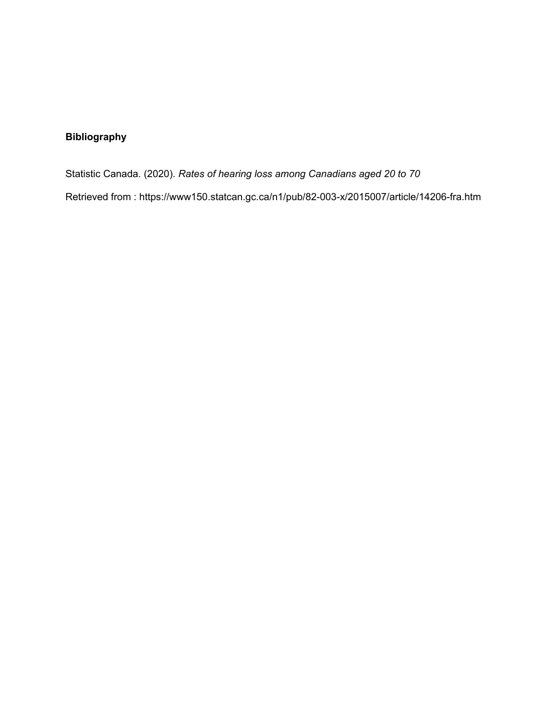## <span id="page-6-0"></span>**Bibliography**

Statistic Canada. (2020). *Rates of hearing loss among Canadians aged 20 to 70*

Retrieved from : https://www150.statcan.gc.ca/n1/pub/82-003-x/2015007/article/14206-fra.htm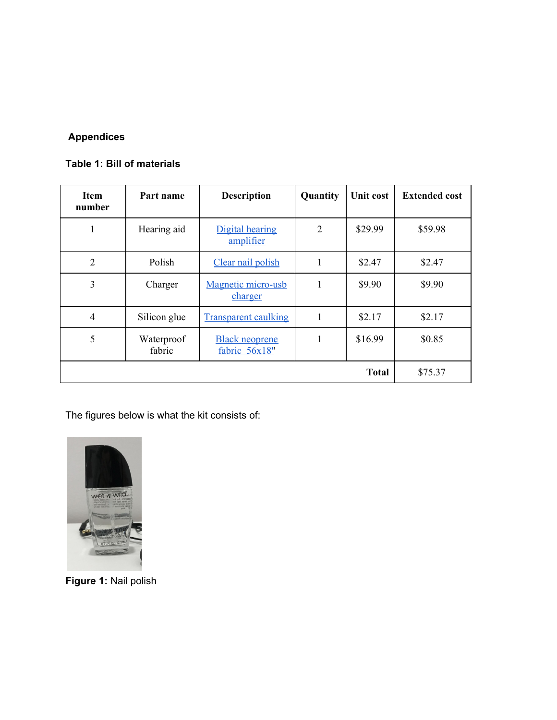## <span id="page-7-0"></span>**Appendices**

### <span id="page-7-1"></span>**Table 1: Bill of materials**

| <b>Item</b><br>number | Part name            | <b>Description</b>                     | Quantity       | Unit cost | <b>Extended cost</b> |
|-----------------------|----------------------|----------------------------------------|----------------|-----------|----------------------|
| 1                     | Hearing aid          | Digital hearing<br>amplifier           | $\overline{2}$ | \$29.99   | \$59.98              |
| 2                     | Polish               | Clear nail polish                      | 1              | \$2.47    | \$2.47               |
| 3                     | Charger              | Magnetic micro-usb<br>charger          |                | \$9.90    | \$9.90               |
| $\overline{4}$        | Silicon glue         | <b>Transparent caulking</b>            |                | \$2.17    | \$2.17               |
| 5                     | Waterproof<br>fabric | <b>Black neoprene</b><br>fabric 56x18" | 1              | \$16.99   | \$0.85               |
| <b>Total</b>          |                      |                                        |                |           | \$75.37              |

The figures below is what the kit consists of:

<span id="page-7-2"></span>

**Figure 1:** Nail polish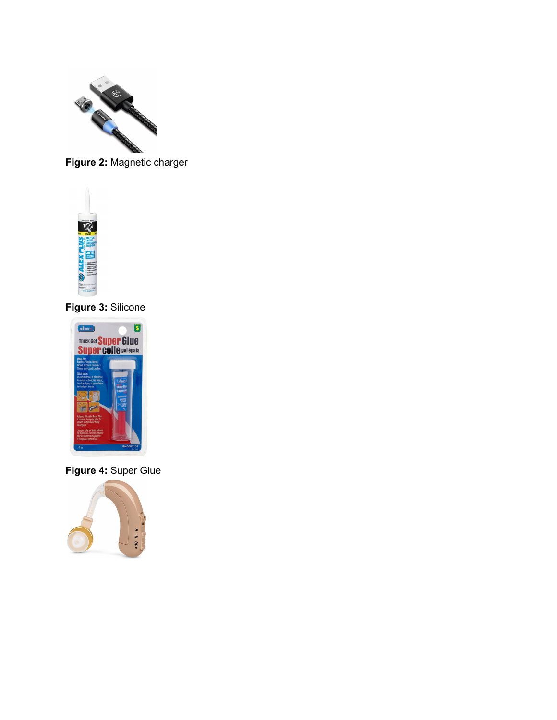

<span id="page-8-0"></span>**Figure 2:** Magnetic charger



**Figure 3:** Silicone

<span id="page-8-1"></span>

<span id="page-8-2"></span>**Figure 4:** Super Glue